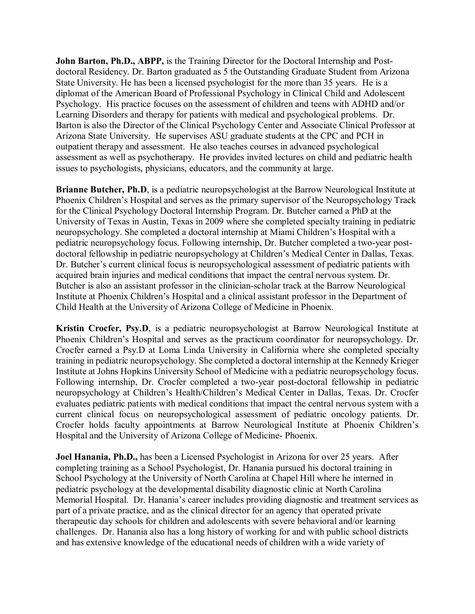**John Barton, Ph.D., ABPP,** is the Training Director for the Doctoral Internship and Postdoctoral Residency. Dr. Barton graduated as 5 the Outstanding Graduate Student from Arizona State University. He has been a licensed psychologist for the more than 35 years. He is a diplomat of the American Board of Professional Psychology in Clinical Child and Adolescent Psychology. His practice focuses on the assessment of children and teens with ADHD and/or Learning Disorders and therapy for patients with medical and psychological problems. Dr. Barton is also the Director of the Clinical Psychology Center and Associate Clinical Professor at Arizona State University. He supervises ASU graduate students at the CPC and PCH in outpatient therapy and assessment. He also teaches courses in advanced psychological assessment as well as psychotherapy. He provides invited lectures on child and pediatric health issues to psychologists, physicians, educators, and the community at large.

**Brianne Butcher, Ph.D.** is a pediatric neuropsychologist at the Barrow Neurological Institute at Phoenix Children's Hospital and serves as the primary supervisor of the Neuropsychology Track for the Clinical Psychology Doctoral Internship Program. Dr. Butcher earned a PhD at the University of Texas in Austin, Texas in 2009 where she completed specialty training in pediatric neuropsychology. She completed a doctoral internship at Miami Children's Hospital with a pediatric neuropsychology focus. Following internship, Dr. Butcher completed a two-year postdoctoral fellowship in pediatric neuropsychology at Children's Medical Center in Dallas, Texas. Dr. Butcher's current clinical focus is neuropsychological assessment of pediatric patients with acquired brain injuries and medical conditions that impact the central nervous system. Dr. Butcher is also an assistant professor in the clinician-scholar track at the Barrow Neurological Institute at Phoenix Children's Hospital and a clinical assistant professor in the Department of Child Health at the University of Arizona College of Medicine in Phoenix.

**Kristin Crocfer, Psy.D**, is a pediatric neuropsychologist at Barrow Neurological Institute at Phoenix Children's Hospital and serves as the practicum coordinator for neuropsychology. Dr. Crocfer earned a Psy.D at Loma Linda University in California where she completed specialty training in pediatric neuropsychology. She completed a doctoral internship at the Kennedy Krieger Institute at Johns Hopkins University School of Medicine with a pediatric neuropsychology focus. Following internship, Dr. Crocfer completed a two-year post-doctoral fellowship in pediatric neuropsychology at Children's Health/Children's Medical Center in Dallas, Texas. Dr. Crocfer evaluates pediatric patients with medical conditions that impact the central nervous system with a current clinical focus on neuropsychological assessment of pediatric oncology patients. Dr. Crocfer holds faculty appointments at Barrow Neurological Institute at Phoenix Children's Hospital and the University of Arizona College of Medicine- Phoenix.

**Joel Hanania, Ph.D.,** has been a Licensed Psychologist in Arizona for over 25 years. After completing training as a School Psychologist, Dr. Hanania pursued his doctoral training in School Psychology at the University of North Carolina at Chapel Hill where he interned in pediatric psychology at the developmental disability diagnostic clinic at North Carolina Memorial Hospital. Dr. Hanania's career includes providing diagnostic and treatment services as part of a private practice, and as the clinical director for an agency that operated private therapeutic day schools for children and adolescents with severe behavioral and/or learning challenges. Dr. Hanania also has a long history of working for and with public school districts and has extensive knowledge of the educational needs of children with a wide variety of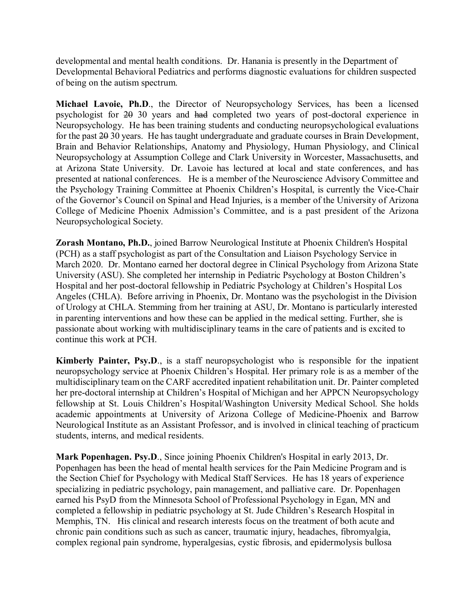developmental and mental health conditions. Dr. Hanania is presently in the Department of Developmental Behavioral Pediatrics and performs diagnostic evaluations for children suspected of being on the autism spectrum.

**Michael Lavoie, Ph.D**., the Director of Neuropsychology Services, has been a licensed psychologist for 20 30 years and had completed two years of post-doctoral experience in Neuropsychology. He has been training students and conducting neuropsychological evaluations for the past 20 30 years. He has taught undergraduate and graduate courses in Brain Development, Brain and Behavior Relationships, Anatomy and Physiology, Human Physiology, and Clinical Neuropsychology at Assumption College and Clark University in Worcester, Massachusetts, and at Arizona State University. Dr. Lavoie has lectured at local and state conferences, and has presented at national conferences. He is a member of the Neuroscience Advisory Committee and the Psychology Training Committee at Phoenix Children's Hospital, is currently the Vice-Chair of the Governor's Council on Spinal and Head Injuries, is a member of the University of Arizona College of Medicine Phoenix Admission's Committee, and is a past president of the Arizona Neuropsychological Society.

**Zorash Montano, Ph.D.**, joined Barrow Neurological Institute at Phoenix Children's Hospital (PCH) as a staff psychologist as part of the Consultation and Liaison Psychology Service in March 2020. Dr. Montano earned her doctoral degree in Clinical Psychology from Arizona State University (ASU). She completed her internship in Pediatric Psychology at Boston Children's Hospital and her post-doctoral fellowship in Pediatric Psychology at Children's Hospital Los Angeles (CHLA). Before arriving in Phoenix, Dr. Montano was the psychologist in the Division of Urology at CHLA. Stemming from her training at ASU, Dr. Montano is particularly interested in parenting interventions and how these can be applied in the medical setting. Further, she is passionate about working with multidisciplinary teams in the care of patients and is excited to continue this work at PCH.

**Kimberly Painter, Psy.D.**, is a staff neuropsychologist who is responsible for the inpatient neuropsychology service at Phoenix Children's Hospital. Her primary role is as a member of the multidisciplinary team on the CARF accredited inpatient rehabilitation unit. Dr. Painter completed her pre-doctoral internship at Children's Hospital of Michigan and her APPCN Neuropsychology fellowship at St. Louis Children's Hospital/Washington University Medical School. She holds academic appointments at University of Arizona College of Medicine-Phoenix and Barrow Neurological Institute as an Assistant Professor, and is involved in clinical teaching of practicum students, interns, and medical residents.

**Mark Popenhagen. Psy.D**., Since joining Phoenix Children's Hospital in early 2013, Dr. Popenhagen has been the head of mental health services for the Pain Medicine Program and is the Section Chief for Psychology with Medical Staff Services. He has 18 years of experience specializing in pediatric psychology, pain management, and palliative care. Dr. Popenhagen earned his PsyD from the Minnesota School of Professional Psychology in Egan, MN and completed a fellowship in pediatric psychology at St. Jude Children's Research Hospital in Memphis, TN. His clinical and research interests focus on the treatment of both acute and chronic pain conditions such as such as cancer, traumatic injury, headaches, fibromyalgia, complex regional pain syndrome, hyperalgesias, cystic fibrosis, and epidermolysis bullosa